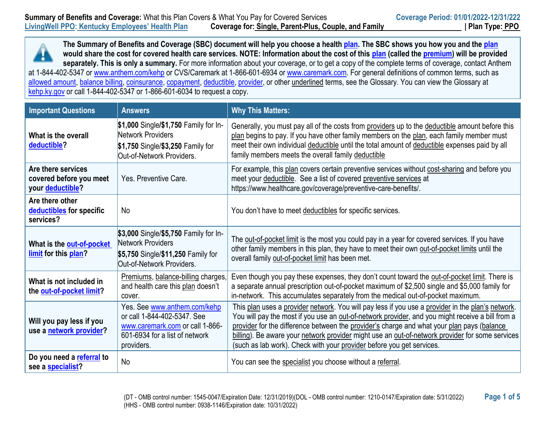**The Summary of Benefits and Coverage (SBC) document will help you choose a healt[h plan.](https://www.healthcare.gov/sbc-glossary/#plan) The SBC shows you how you and the [plan](https://www.healthcare.gov/sbc-glossary/#plan) would share the cost for covered health care services. NOTE: Information about the cost of this [plan](https://www.healthcare.gov/sbc-glossary/#plan) (called the [premium\)](https://www.healthcare.gov/sbc-glossary/#premium) will be provided separately. This is only a summary.** For more information about your coverage, or to get a copy of the complete terms of coverage, contact Anthem at 1-844-402-5347 or [www.anthem.com/kehp](http://www.anthem.com/kehp) or CVS/Caremark at 1-866-601-6934 or [www.caremark.com.](http://www.caremark.com/) For general definitions of common terms, such as [allowed amount,](https://www.healthcare.gov/sbc-glossary/#allowed-amount) [balance billing,](https://www.healthcare.gov/sbc-glossary/#balance-billing) [coinsurance,](https://www.healthcare.gov/sbc-glossary/#coinsurance) [copayment,](https://www.healthcare.gov/sbc-glossary/#copayment) [deductible,](https://www.healthcare.gov/sbc-glossary/#deductible) [provider,](https://www.healthcare.gov/sbc-glossary/#provider) or other underlined terms, see the Glossary. You can view the Glossary at [kehp.ky.gov](http://kehp.ky.gov/) or call 1-844-402-5347 or 1-866-601-6034 to request a copy.

| <b>Important Questions</b>                                        | <b>Answers</b>                                                                                                                                 | <b>Why This Matters:</b>                                                                                                                                                                                                                                                                                                                                                                                                                                                        |
|-------------------------------------------------------------------|------------------------------------------------------------------------------------------------------------------------------------------------|---------------------------------------------------------------------------------------------------------------------------------------------------------------------------------------------------------------------------------------------------------------------------------------------------------------------------------------------------------------------------------------------------------------------------------------------------------------------------------|
| What is the overall<br>deductible?                                | \$1,000 Single/\$1,750 Family for In-<br>Network Providers<br>\$1,750 Single/\$3,250 Family for<br>Out-of-Network Providers.                   | Generally, you must pay all of the costs from providers up to the deductible amount before this<br>plan begins to pay. If you have other family members on the plan, each family member must<br>meet their own individual deductible until the total amount of deductible expenses paid by all<br>family members meets the overall family deductible                                                                                                                            |
| Are there services<br>covered before you meet<br>your deductible? | Yes. Preventive Care.                                                                                                                          | For example, this plan covers certain preventive services without cost-sharing and before you<br>meet your deductible. See a list of covered preventive services at<br>https://www.healthcare.gov/coverage/preventive-care-benefits/.                                                                                                                                                                                                                                           |
| Are there other<br>deductibles for specific<br>services?          | No                                                                                                                                             | You don't have to meet deductibles for specific services.                                                                                                                                                                                                                                                                                                                                                                                                                       |
| What is the out-of-pocket<br>limit for this plan?                 | \$3,000 Single/\$5,750 Family for In-<br>Network Providers<br>\$5,750 Single/\$11,250 Family for<br>Out-of-Network Providers.                  | The out-of-pocket limit is the most you could pay in a year for covered services. If you have<br>other family members in this plan, they have to meet their own out-of-pocket limits until the<br>overall family out-of-pocket limit has been met.                                                                                                                                                                                                                              |
| What is not included in<br>the out-of-pocket limit?               | Premiums, balance-billing charges,<br>and health care this plan doesn't<br>cover.                                                              | Even though you pay these expenses, they don't count toward the out-of-pocket limit. There is<br>a separate annual prescription out-of-pocket maximum of \$2,500 single and \$5,000 family for<br>in-network. This accumulates separately from the medical out-of-pocket maximum.                                                                                                                                                                                               |
| Will you pay less if you<br>use a network provider?               | Yes. See www.anthem.com/kehp<br>or call 1-844-402-5347. See<br>www.caremark.com or call 1-866-<br>601-6934 for a list of network<br>providers. | This plan uses a provider network. You will pay less if you use a provider in the plan's network.<br>You will pay the most if you use an out-of-network provider, and you might receive a bill from a<br>provider for the difference between the provider's charge and what your plan pays (balance<br>billing). Be aware your network provider might use an out-of-network provider for some services<br>(such as lab work). Check with your provider before you get services. |
| Do you need a referral to<br>see a specialist?                    | No                                                                                                                                             | You can see the specialist you choose without a referral.                                                                                                                                                                                                                                                                                                                                                                                                                       |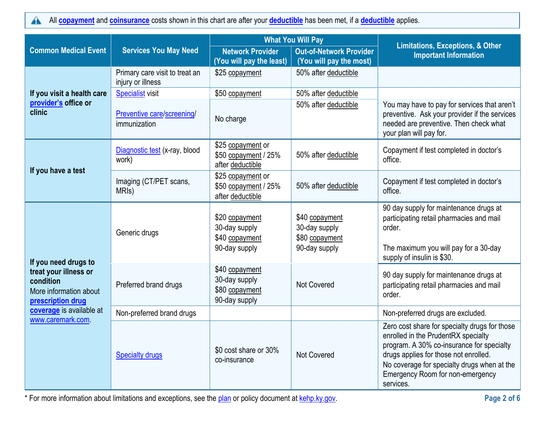All **[copayment](https://www.healthcare.gov/sbc-glossary/#copayment)** and **[coinsurance](https://www.healthcare.gov/sbc-glossary/#coinsurance)** costs shown in this chart are after your **[deductible](https://www.healthcare.gov/sbc-glossary/#deductible)** has been met, if a **[deductible](https://www.healthcare.gov/sbc-glossary/#deductible)** applies.  $\blacktriangle$ 

|                                                                                   |                                                     | <b>What You Will Pay</b>                                           |                                                                    |                                                                                                                                                                                                                                                                            |
|-----------------------------------------------------------------------------------|-----------------------------------------------------|--------------------------------------------------------------------|--------------------------------------------------------------------|----------------------------------------------------------------------------------------------------------------------------------------------------------------------------------------------------------------------------------------------------------------------------|
| <b>Common Medical Event</b>                                                       | <b>Services You May Need</b>                        | <b>Network Provider</b><br>(You will pay the least)                | <b>Out-of-Network Provider</b><br>(You will pay the most)          | <b>Limitations, Exceptions, &amp; Other</b><br><b>Important Information</b>                                                                                                                                                                                                |
|                                                                                   | Primary care visit to treat an<br>injury or illness | \$25 copayment                                                     | 50% after deductible                                               |                                                                                                                                                                                                                                                                            |
| If you visit a health care                                                        | <b>Specialist visit</b>                             | \$50 copayment                                                     | 50% after deductible                                               |                                                                                                                                                                                                                                                                            |
| provider's office or<br>clinic                                                    | Preventive care/screening/<br>immunization          | No charge                                                          | 50% after deductible                                               | You may have to pay for services that aren't<br>preventive. Ask your provider if the services<br>needed are preventive. Then check what<br>your plan will pay for.                                                                                                         |
|                                                                                   | Diagnostic test (x-ray, blood<br>work)              | \$25 copayment or<br>\$50 copayment / 25%<br>after deductible      | 50% after deductible                                               | Copayment if test completed in doctor's<br>office.                                                                                                                                                                                                                         |
| If you have a test                                                                | Imaging (CT/PET scans,<br>MRI <sub>s</sub> )        | \$25 copayment or<br>\$50 copayment / 25%<br>after deductible      | 50% after deductible                                               | Copayment if test completed in doctor's<br>office.                                                                                                                                                                                                                         |
|                                                                                   | Generic drugs                                       | \$20 copayment<br>30-day supply<br>\$40 copayment<br>90-day supply | \$40 copayment<br>30-day supply<br>\$80 copayment<br>90-day supply | 90 day supply for maintenance drugs at<br>participating retail pharmacies and mail<br>order.<br>The maximum you will pay for a 30-day                                                                                                                                      |
| If you need drugs to                                                              |                                                     |                                                                    |                                                                    | supply of insulin is \$30.                                                                                                                                                                                                                                                 |
| treat your illness or<br>condition<br>More information about<br>prescription drug | Preferred brand drugs                               | \$40 copayment<br>30-day supply<br>\$80 copayment<br>90-day supply | <b>Not Covered</b>                                                 | 90 day supply for maintenance drugs at<br>participating retail pharmacies and mail<br>order.                                                                                                                                                                               |
| coverage is available at                                                          | Non-preferred brand drugs                           |                                                                    |                                                                    | Non-preferred drugs are excluded.                                                                                                                                                                                                                                          |
| www.caremark.com                                                                  | <b>Specialty drugs</b>                              | \$0 cost share or 30%<br>co-insurance                              | <b>Not Covered</b>                                                 | Zero cost share for specialty drugs for those<br>enrolled in the PrudentRX specialty<br>program. A 30% co-insurance for specialty<br>drugs applies for those not enrolled.<br>No coverage for specialty drugs when at the<br>Emergency Room for non-emergency<br>services. |

\* For more information about limitations and exceptions, see the [plan](https://www.healthcare.gov/sbc-glossary/#plan) or policy document at [kehp.ky.gov.](http://kehp.ky.gov/) **Page 2 of 6**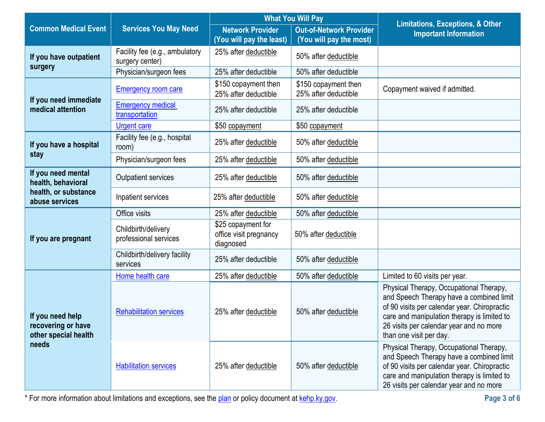|                                                                |                                                   |                                                           | <b>What You Will Pay</b>                     |                                                                                                                                                                                                                                                          |
|----------------------------------------------------------------|---------------------------------------------------|-----------------------------------------------------------|----------------------------------------------|----------------------------------------------------------------------------------------------------------------------------------------------------------------------------------------------------------------------------------------------------------|
| <b>Common Medical Event</b>                                    | <b>Services You May Need</b>                      | <b>Network Provider</b>                                   | <b>Out-of-Network Provider</b>               | <b>Limitations, Exceptions, &amp; Other</b><br><b>Important Information</b>                                                                                                                                                                              |
|                                                                |                                                   | (You will pay the least)                                  | (You will pay the most)                      |                                                                                                                                                                                                                                                          |
| If you have outpatient                                         | Facility fee (e.g., ambulatory<br>surgery center) | 25% after deductible                                      | 50% after deductible                         |                                                                                                                                                                                                                                                          |
| surgery                                                        | Physician/surgeon fees                            | 25% after deductible                                      | 50% after deductible                         |                                                                                                                                                                                                                                                          |
| If you need immediate                                          | <b>Emergency room care</b>                        | \$150 copayment then<br>25% after deductible              | \$150 copayment then<br>25% after deductible | Copayment waived if admitted.                                                                                                                                                                                                                            |
| medical attention                                              | <b>Emergency medical</b><br>transportation        | 25% after deductible                                      | 25% after deductible                         |                                                                                                                                                                                                                                                          |
|                                                                | Urgent care                                       | \$50 copayment                                            | \$50 copayment                               |                                                                                                                                                                                                                                                          |
| If you have a hospital                                         | Facility fee (e.g., hospital<br>room)             | 25% after deductible                                      | 50% after deductible                         |                                                                                                                                                                                                                                                          |
| stay                                                           | Physician/surgeon fees                            | 25% after deductible                                      | 50% after deductible                         |                                                                                                                                                                                                                                                          |
| If you need mental<br>health, behavioral                       | <b>Outpatient services</b>                        | 25% after deductible                                      | 50% after deductible                         |                                                                                                                                                                                                                                                          |
| health, or substance<br>abuse services                         | Inpatient services                                | 25% after deductible                                      | 50% after deductible                         |                                                                                                                                                                                                                                                          |
|                                                                | Office visits                                     | 25% after deductible                                      | 50% after deductible                         |                                                                                                                                                                                                                                                          |
| If you are pregnant                                            | Childbirth/delivery<br>professional services      | \$25 copayment for<br>office visit pregnancy<br>diagnosed | 50% after deductible                         |                                                                                                                                                                                                                                                          |
|                                                                | Childbirth/delivery facility<br>services          | 25% after deductible                                      | 50% after deductible                         |                                                                                                                                                                                                                                                          |
|                                                                | Home health care                                  | 25% after deductible                                      | 50% after deductible                         | Limited to 60 visits per year.                                                                                                                                                                                                                           |
| If you need help<br>recovering or have<br>other special health | <b>Rehabilitation services</b>                    | 25% after deductible                                      | 50% after deductible                         | Physical Therapy, Occupational Therapy,<br>and Speech Therapy have a combined limit<br>of 90 visits per calendar year. Chiropractic<br>care and manipulation therapy is limited to<br>26 visits per calendar year and no more<br>than one visit per day. |
| needs                                                          | <b>Habilitation services</b>                      | 25% after deductible                                      | 50% after deductible                         | Physical Therapy, Occupational Therapy,<br>and Speech Therapy have a combined limit<br>of 90 visits per calendar year. Chiropractic<br>care and manipulation therapy is limited to<br>26 visits per calendar year and no more                            |

\* For more information about limitations and exceptions, see the [plan](https://www.healthcare.gov/sbc-glossary/#plan) or policy document at [kehp.ky.gov.](http://kehp.ky.gov/) **Page 3 of 6**

 $\sim$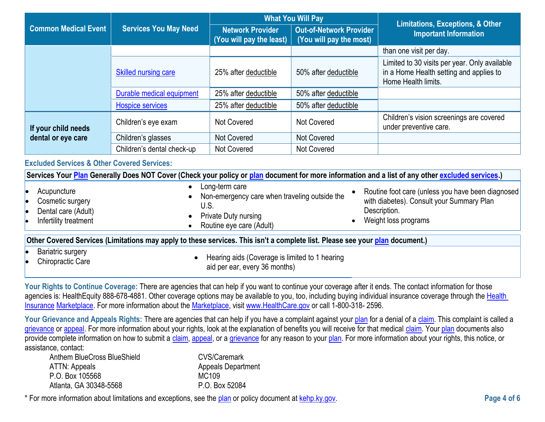|                                                        |                              | <b>What You Will Pay</b>                            |                                                           | <b>Limitations, Exceptions, &amp; Other</b>                                                                                                      |
|--------------------------------------------------------|------------------------------|-----------------------------------------------------|-----------------------------------------------------------|--------------------------------------------------------------------------------------------------------------------------------------------------|
| <b>Common Medical Event</b>                            | <b>Services You May Need</b> | <b>Network Provider</b><br>(You will pay the least) | <b>Out-of-Network Provider</b><br>(You will pay the most) | <b>Important Information</b>                                                                                                                     |
|                                                        |                              |                                                     |                                                           | than one visit per day.                                                                                                                          |
|                                                        | <b>Skilled nursing care</b>  | 25% after deductible                                | 50% after deductible                                      | Limited to 30 visits per year. Only available<br>in a Home Health setting and applies to<br>Home Health limits.                                  |
|                                                        | Durable medical equipment    | 25% after deductible                                | 50% after deductible                                      |                                                                                                                                                  |
|                                                        | <b>Hospice services</b>      | 25% after deductible                                | 50% after deductible                                      |                                                                                                                                                  |
| If your child needs                                    | Children's eye exam          | Not Covered                                         | Not Covered                                               | Children's vision screenings are covered<br>under preventive care.                                                                               |
| dental or eye care                                     | Children's glasses           | Not Covered                                         | Not Covered                                               |                                                                                                                                                  |
|                                                        | Children's dental check-up   | <b>Not Covered</b>                                  | Not Covered                                               |                                                                                                                                                  |
| <b>Excluded Services &amp; Other Covered Services:</b> |                              |                                                     |                                                           |                                                                                                                                                  |
|                                                        |                              |                                                     |                                                           | Services Your Plan Generally Does NOT Cover (Check your policy or plan document for more information and a list of any other excluded services.) |
|                                                        |                              | a langkarn sara                                     |                                                           |                                                                                                                                                  |

| Acupuncture<br>Cosmetic surgery<br>Dental care (Adult)<br>Infertility treatment | Long-term care<br>Non-emergency care when traveling outside the<br>U.S.<br><b>Private Duty nursing</b><br>Routine eye care (Adult) | Routine foot care (unless you have been diagnosed<br>with diabetes). Consult your Summary Plan<br>Description.<br>Weight loss programs |
|---------------------------------------------------------------------------------|------------------------------------------------------------------------------------------------------------------------------------|----------------------------------------------------------------------------------------------------------------------------------------|
|                                                                                 | Other Covered Services (Limitations may apply to these services. This isn't a complete list. Please see your plan document.)       |                                                                                                                                        |
| <b>Bariatric surgery</b><br>Chiropractic Care                                   | Hearing aids (Coverage is limited to 1 hearing<br>aid per ear, every 36 months)                                                    |                                                                                                                                        |

Your Rights to Continue Coverage: There are agencies that can help if you want to continue your coverage after it ends. The contact information for those agencies is: HealthEquity 888-678-4881. Other coverage options may be available to you, too, including buying individual insurance coverage through the Health [Insurance](https://www.healthcare.gov/sbc-glossary/#health-insurance) [Marketplace.](https://www.healthcare.gov/sbc-glossary/#marketplace) For more information about the [Marketplace,](https://www.healthcare.gov/sbc-glossary/#marketplace) visit [www.HealthCare.gov](http://www.healthcare.gov/) or call 1-800-318- 2596.

Your Grievance and Appeals Rights: There are agencies that can help if you have a complaint against you[r plan](https://www.healthcare.gov/sbc-glossary/#plan) for a denial of a [claim.](https://www.healthcare.gov/sbc-glossary/#claim) This complaint is called a [grievance](https://www.healthcare.gov/sbc-glossary/#grievance) or [appeal.](https://www.healthcare.gov/sbc-glossary/#appeal) For more information about your rights, look at the explanation of benefits you will receive for that medical [claim.](https://www.healthcare.gov/sbc-glossary/#claim) You[r plan](https://www.healthcare.gov/sbc-glossary/#plan) documents also provide complete information on how to submit a [claim,](https://www.healthcare.gov/sbc-glossary/#claim) [appeal,](https://www.healthcare.gov/sbc-glossary/#appeal) or a [grievance](https://www.healthcare.gov/sbc-glossary/#grievance) for any reason to your [plan.](https://www.healthcare.gov/sbc-glossary/#plan) For more information about your rights, this notice, or assistance, contact:

| Anthem BlueCross BlueShield | <b>CVS/Caremark</b>       |
|-----------------------------|---------------------------|
| ATTN: Appeals               | <b>Appeals Department</b> |
| P.O. Box 105568             | MC109                     |
| Atlanta, GA 30348-5568      | P.O. Box 52084            |

\* For more information about limitations and exceptions, see the [plan](https://www.healthcare.gov/sbc-glossary/#plan) or policy document at [kehp.ky.gov.](http://kehp.ky.gov/) **Page 4 of 6**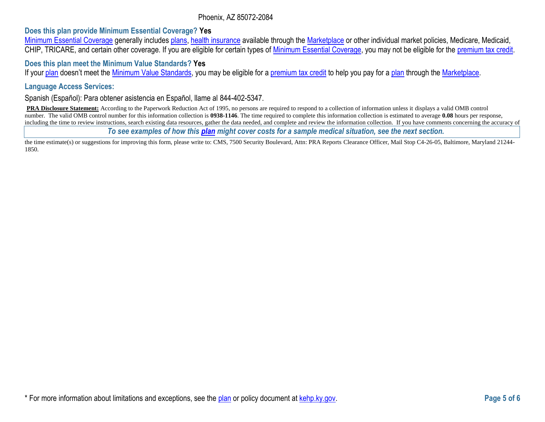### Phoenix, AZ 85072-2084

### **Does this plan provide Minimum Essential Coverage? Yes**

[Minimum Essential Coverage](https://www.healthcare.gov/sbc-glossary/#minimum-essential-coverage) generally includes [plans,](https://www.healthcare.gov/sbc-glossary/#plan) [health insurance](https://www.healthcare.gov/sbc-glossary/#health-insurance) available through the [Marketplace](https://www.healthcare.gov/sbc-glossary/#marketplace) or other individual market policies, Medicare, Medicaid, CHIP, TRICARE, and certain other coverage. If you are eligible for certain types of [Minimum Essential Coverage,](https://www.healthcare.gov/sbc-glossary/#minimum-essential-coverage) you may not be eligible for the [premium tax credit.](https://www.healthcare.gov/sbc-glossary/#premium-tax-credits)

### **Does this plan meet the Minimum Value Standards? Yes**

If your [plan](https://www.healthcare.gov/sbc-glossary/#plan) doesn't meet the [Minimum Value Standards,](https://www.healthcare.gov/sbc-glossary/#minimum-value-standard) you may be eligible for a [premium tax credit](https://www.healthcare.gov/sbc-glossary/#premium-tax-credits) to help you pay for a plan through the [Marketplace.](https://www.healthcare.gov/sbc-glossary/#marketplace)

#### **Language Access Services:**

Spanish (Español): Para obtener asistencia en Español, llame al 844-402-5347.

**PRA Disclosure Statement:** According to the Paperwork Reduction Act of 1995, no persons are required to respond to a collection of information unless it displays a valid OMB control number. The valid OMB control number for this information collection is **0938-1146**. The time required to complete this information collection is estimated to average **0.08** hours per response, including the time to review instructions, search existing data resources, gather the data needed, and complete and review the information collection. If you have comments concerning the accuracy of

*To see examples of how this [plan](https://www.healthcare.gov/sbc-glossary/#plan) might cover costs for a sample medical situation, see the next section.*

the time estimate(s) or suggestions for improving this form, please write to: CMS, 7500 Security Boulevard, Attn: PRA Reports Clearance Officer, Mail Stop C4-26-05, Baltimore, Maryland 21244-1850.